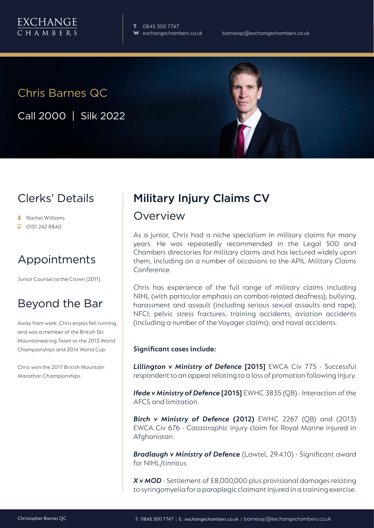**T**: 0845 300 7747 **W**: exchangechambers.co.uk

## Chris Barnes QC

Call 2000 | Silk 2022

## Clerks' Details

- Rachel Williams
- 0151 242 8840

## Appointments

Junior Counsel to the Crown (2011)

### Beyond the Bar

Away from work, Chris enjoys fell running and was a member of the British Ski Mountaineering Team at the 2013 World Championships and 2014 World Cup.

Chris won the 2017 British Mountain Marathon Championships.

# Military Injury Claims CV

### Overview

As a junior, Chris had a niche specialism in military claims for many years. He was repeatedly recommended in the Legal 500 and Chambers directories for military claims and has lectured widely upon them, including on a number of occasions to the APIL Military Claims Conference.

Chris has experience of the full range of military claims including NIHL (with particular emphasis on combat-related deafness); bullying, harassment and assault (including serious sexual assaults and rape); NFCI; pelvic stress fractures; training accidents; aviation accidents (including a number of the Voyager claims); and naval accidents.

#### **Significant cases include:**

*Lillington v Ministry of Defence* **[2015]** EWCA Civ 775 - Successful respondent to an appeal relating to a loss of promotion following injury.

*Ifede v Ministry of Defence* **[2015]** EWHC 3835 (QB) - Interaction of the AFCS and limitation.

*Birch v Ministry of Defence* **(2012)** EWHC 2267 (QB) and (2013) EWCA Civ 676 - Catastrophic injury claim for Royal Marine injured in Afghanistan.

*Bradlaugh v Ministry of Defence* (Lawtel, 29.4.10) - Significant award for NIHL/tinnitus.

*X v MOD* - Settlement of £8,000,000 plus provisional damages relating to syringomyelia for a paraplegic claimant injured in a training exercise.